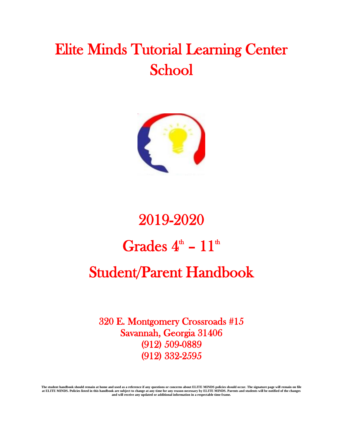## Elite Minds Tutorial Learning Center School



# 2019-2020 Grades  $4^{\text{th}} - 11^{\text{th}}$ Student/Parent Handbook

320 E. Montgomery Crossroads #15 Savannah, Georgia 31406 (912) 509-0889 (912) 332-2595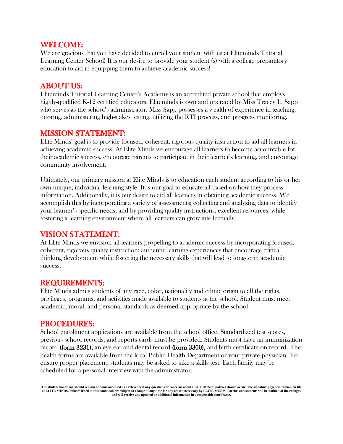#### WELCOME:

We are gracious that you have decided to enroll your student with us at Eliteminds Tutorial Learning Center School! It is our desire to provide your student (s) with a college preparatory education to aid in equipping them to achieve academic success!

#### ABOUT US:

Eliteminds Tutorial Learning Center's Academy is an accredited private school that employs highly-qualified K-12 certified educators. Eliteminds is own and operated by Miss Tracey L. Sapp who serves as the school's administrator. Miss Sapp possesses a wealth of experience in teaching, tutoring, administering high-stakes testing, utilizing the RTI process, and progress monitoring.

#### MISSION STATEMENT:

Elite Minds' goal is to provide focused, coherent, rigorous quality instruction to aid all learners in achieving academic success. At Elite Minds we encourage all learners to become accountable for their academic success, encourage parents to participate in their learner's learning, and encourage community involvement.

Ultimately, our primary mission at Elite Minds is to education each student according to his or her own unique, individual learning style. It is our goal to educate all based on how they process information. Additionally, it is our desire to aid all learners in obtaining academic success. We accomplish this by incorporating a variety of assessments; collecting and analyzing data to identify your learner's specific needs, and by providing quality instructions, excellent resources, while fostering a learning environment where all learners can grow intellectually.

#### VISION STATEMENT:

At Elite Minds we envision all learners propelling to academic success by incorporating focused, coherent, rigorous quality instruction; authentic learning experiences that encourage critical thinking development while fostering the necessary skills that will lead to long-term academic success.

#### REQUIREMENTS:

Elite Minds admits students of any race, color, nationality and ethnic origin to all the rights, privileges, programs, and activities made available to students at the school. Student must meet academic, moral, and personal standards as deemed appropriate by the school.

#### PROCEDURES:

School enrollment applications are available from the school office. Standardized test scores, previous school records, and reports cards must be provided. Students must have an immunization record (form 3231), an eye ear and dental record (form 3300), and birth certificate on record. The health forms are available from the local Public Health Department or your private physician. To ensure proper placement, students may be asked to take a skills test. Each family may be scheduled for a personal interview with the administrator.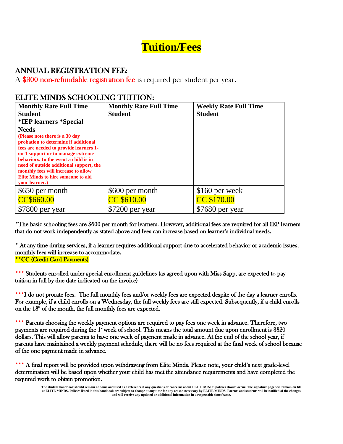## **Tuition/Fees**

#### ANNUAL REGISTRATION FEE:

A \$300 non-refundable registration fee is required per student per year.

#### ELITE MINDS SCHOOLING TUITION:

| <b>Monthly Rate Full Time</b>                                                                                                                                                                                                                                                                                                             | <b>Monthly Rate Full Time</b> | <b>Weekly Rate Full Time</b> |
|-------------------------------------------------------------------------------------------------------------------------------------------------------------------------------------------------------------------------------------------------------------------------------------------------------------------------------------------|-------------------------------|------------------------------|
| <b>Student</b>                                                                                                                                                                                                                                                                                                                            | <b>Student</b>                | <b>Student</b>               |
| *IEP learners *Special                                                                                                                                                                                                                                                                                                                    |                               |                              |
| <b>Needs</b>                                                                                                                                                                                                                                                                                                                              |                               |                              |
| (Please note there is a 30 day)<br>probation to determine if additional<br>fees are needed to provide learners 1-<br>on-1 support or to manage extreme<br>behaviors. In the event a child is in<br>need of outside additional support, the<br>monthly fees will increase to allow<br>Elite Minds to hire someone to aid<br>vour learner.) |                               |                              |
| \$650 per month                                                                                                                                                                                                                                                                                                                           | \$600 per month               | $$160$ per week              |
| CC\$660.00                                                                                                                                                                                                                                                                                                                                | CC \$610.00                   | CC \$170.00                  |
| \$7800 per year                                                                                                                                                                                                                                                                                                                           | \$7200 per year               | \$7680 per year              |

\*The basic schooling fees are \$600 per month for learners. However, additional fees are required for all IEP learners that do not work independently as stated above and fees can increase based on learner's individual needs.

\* At any time during services, if a learner requires additional support due to accelerated behavior or academic issues, monthly fees will increase to accommodate. \*\*CC (Credit Card Payments)

Students enrolled under special enrollment guidelines (as agreed upon with Miss Sapp, are expected to pay tuition in full by due date indicated on the invoice)

\*\*\*I do not prorate fees. The full monthly fees and/or weekly fees are expected despite of the day a learner enrolls. For example, if a child enrolls on a Wednesday, the full weekly fees are still expected. Subsequently, if a child enrolls on the  $13<sup>th</sup>$  of the month, the full monthly fees are expected.

Parents choosing the weekly payment options are required to pay fees one week in advance. Therefore, two payments are required during the 1<sup>\*</sup> week of school. This means the total amount due upon enrollment is \$320 dollars. This will allow parents to have one week of payment made in advance. At the end of the school year, if parents have maintained a weekly payment schedule, there will be no fees required at the final week of school because of the one payment made in advance.

\*\*\* A final report will be provided upon withdrawing from Elite Minds. Please note, your child's next grade-level determination will be based upon whether your child has met the attendance requirements and have completed the required work to obtain promotion.

**The student handbook should remain at home and used as a reference if any questions or concerns about ELITE MINDS policies should occur. The signature page will remain on file at ELITE MINDS. Policies listed in this handbook are subject to change at any time for any reason necessary by ELITE MINDS. Parents and students will be notified of the changes and will receive any updated or additional information in a respectable time frame.**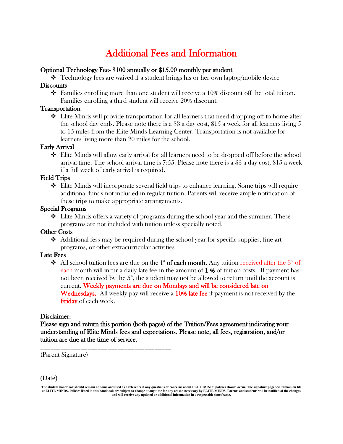## Additional Fees and Information

#### Optional Technology Fee- \$100 annually or \$15.00 monthly per student

 $\bullet$  Technology fees are waived if a student brings his or her own laptop/mobile device **Discounts** 

 $\hat{\cdot}$  Families enrolling more than one student will receive a 10% discount off the total tuition. Families enrolling a third student will receive 20% discount.

#### Transportation

❖ Elite Minds will provide transportation for all learners that need dropping off to home after the school day ends. Please note there is a  $$3$  a day cost,  $$15$  a week for all learners living 5 to 15 miles from the Elite Minds Learning Center. Transportation is not available for learners living more than 20 miles for the school.

#### Early Arrival

❖ Elite Minds will allow early arrival for all learners need to be dropped off before the school arrival time. The school arrival time is 7:55. Please note there is a \$3 a day cost, \$15 a week if a full week of early arrival is required.

#### Field Trips

❖ Elite Minds will incorporate several field trips to enhance learning. Some trips will require additional funds not included in regular tuition. Parents will receive ample notification of these trips to make appropriate arrangements.

#### Special Programs

 $\clubsuit$  Elite Minds offers a variety of programs during the school year and the summer. These programs are not included with tuition unless specially noted.

#### Other Costs

 $\triangleleft$  Additional fess may be required during the school year for specific supplies, fine art programs, or other extracurricular activities

#### Late Fees

All school tuition fees are due on the  $1^*$  of each month. Any tuition received after the  $3^{\alpha}$  of each month will incur a daily late fee in the amount of  $1\%$  of tuition costs. If payment has not been received by the  $5<sup>th</sup>$ , the student may not be allowed to return until the account is current. Weekly payments are due on Mondays and will be considered late on Wednesdays. All weekly pay will receive a 10% late fee if payment is not received by the Friday of each week.

#### Disclaimer:

Please sign and return this portion (both pages) of the Tuition/Fees agreement indicating your understanding of Elite Minds fees and expectations. Please note, all fees, registration, and/or tuition are due at the time of service.

(Parent Signature)

\_\_\_\_\_\_\_\_\_\_\_\_\_\_\_\_\_\_\_\_\_\_\_\_\_\_\_\_\_\_\_\_\_\_\_\_\_\_\_

\_\_\_\_\_\_\_\_\_\_\_\_\_\_\_\_\_\_\_\_\_\_\_\_\_\_\_\_\_\_\_\_\_\_\_\_\_\_\_

#### (Date)

**The student handbook should remain at home and used as a reference if any questions or concerns about ELITE MINDS policies should occur. The signature page will remain on file at ELITE MINDS. Policies listed in this handbook are subject to change at any time for any reason necessary by ELITE MINDS. Parents and students will be notified of the changes and will receive any updated or additional information in a respectable time frame.**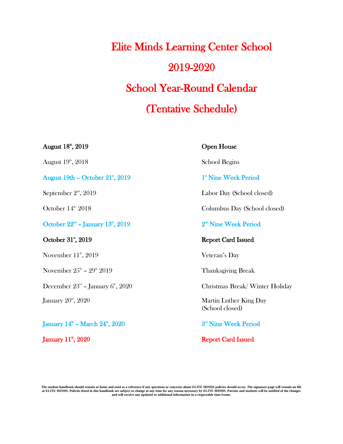## Elite Minds Learning Center School 2019-2020 School Year-Round Calendar (Tentative Schedule)

 $\rm{August}~18^{\rm{th}}$ August  $19^{\circ}$ ,  $2018$  School Begins August 19th – October 21<sup>\*</sup>, 2019 1 September  $2^{\text{nd}}$ , 2019 October 14<sup>th, 2018</sup> Columbus Day (School closed) October  $22<sup>nd</sup>$  – January  $13<sup>th</sup>$ ,  $2019$  2 October 31", 2019 Report Card Issued November  $11^{\text{th}}$ , 2019 November  $25^{\text{\tiny th}}$  –  $29$ December  $23^{\text{\tiny{rd}}}$  – January 6

January  $20^{\scriptscriptstyle\rm th}$ 

January  $14^{\text{th}}$  – March  $24^{\text{th}}$ ,  $2020$  3

#### Open House

st Nine Week Period

Labor Day (School closed)

nd Nine Week Period

Veteran's Day

Thanksgiving Break

Christmas Break/ Winter Holiday

Martin Luther King Day (School closed)

<sup>rd</sup> Nine Week Period

January 11<sup>th</sup>, 2020 Report Card Issued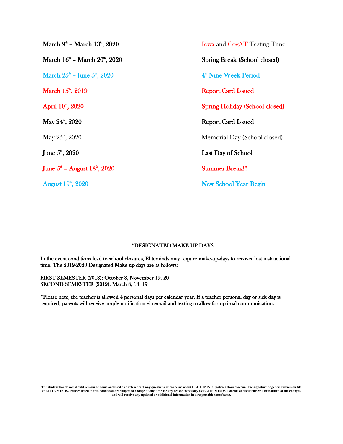| March $9^{\circ}$ – March $13^{\circ}$ , $2020$        | <b>Iowa and CogAT Testing Time</b>    |
|--------------------------------------------------------|---------------------------------------|
| March 16 <sup>th</sup> – March 20 <sup>th</sup> , 2020 | Spring Break (School closed)          |
| March $25^{\circ}$ – June $5^{\circ}$ , $2020$         | 4 <sup>th</sup> Nine Week Period      |
| March $15^{\circ}$ , 2019                              | <b>Report Card Issued</b>             |
| April 10 <sup>th</sup> , 2020                          | <b>Spring Holiday (School closed)</b> |
| May $24^{\circ}$ , $2020$                              | <b>Report Card Issued</b>             |
| May $25^{\text{th}}$ , $2020$                          | Memorial Day (School closed)          |
| June $5^{\circ}$ , 2020                                | Last Day of School                    |
| June $5^{\circ}$ – August $18^{\circ}$ , $2020$        | <b>Summer Break!!!</b>                |
| August 19 <sup>th</sup> , 2020                         | <b>New School Year Begin</b>          |

#### \*DESIGNATED MAKE UP DAYS

In the event conditions lead to school closures, Eliteminds may require make-up-days to recover lost instructional time. The 2019-2020 Designated Make up days are as follows:

FIRST SEMESTER (2018): October 8, November 19, 20 SECOND SEMESTER (2019): March 8, 18, 19

\*Please note, the teacher is allowed 4 personal days per calendar year. If a teacher personal day or sick day is required, parents will receive ample notification via email and texting to allow for optimal communication.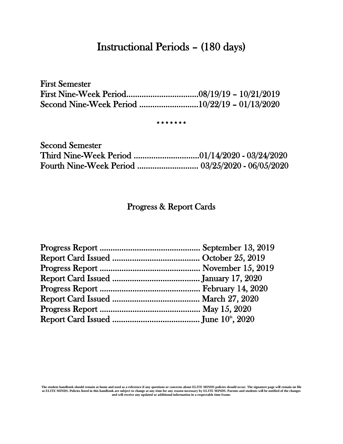### Instructional Periods – (180 days)

First Semester First Nine-Week Period……………………………08/19/19 – 10/21/2019 Second Nine-Week Period ………………………10/22/19 – 01/13/2020

#### \*\*\*\*\*\*\*

| <b>Second Semester</b> |  |
|------------------------|--|
|                        |  |
|                        |  |

#### Progress & Report Cards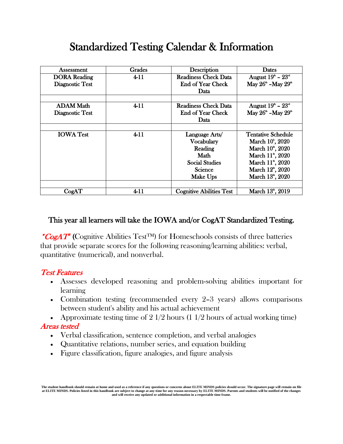## Standardized Testing Calendar & Information

| Assessment          | Grades   | Description                     | <b>Dates</b>                               |
|---------------------|----------|---------------------------------|--------------------------------------------|
| <b>DORA</b> Reading | $4 - 11$ | <b>Readiness Check Data</b>     | August $19^{\text{th}}$ – $23^{\text{nd}}$ |
| Diagnostic Test     |          | <b>End of Year Check</b>        | May $26^{\circ}$ -May $29^{\circ}$         |
|                     |          | <b>Data</b>                     |                                            |
|                     |          |                                 |                                            |
| <b>ADAM Math</b>    | $4 - 11$ | Readiness Check Data            | August $19^{\circ} - 23^{\circ}$           |
| Diagnostic Test     |          | <b>End of Year Check</b>        | May $26^{\circ}$ -May $29^{\circ}$         |
|                     |          | Data.                           |                                            |
|                     |          |                                 |                                            |
| <b>IOWA Test</b>    | $4 - 11$ | Language Arts/                  | <b>Tentative Schedule</b>                  |
|                     |          | Vocabulary                      | March 10 <sup>t</sup> , 2020               |
|                     |          | Reading                         | March 10 <sup>th</sup> , 2020              |
|                     |          | Math                            | March 11 <sup>th</sup> , 2020              |
|                     |          | <b>Social Studies</b>           | March 11 <sup>th</sup> , 2020              |
|                     |          | <b>Science</b>                  | March 12 <sup>th</sup> , 2020              |
|                     |          | Make Ups                        | March 13 <sup>th</sup> , 2020              |
|                     |          |                                 |                                            |
| CogAT               | $4 - 11$ | <b>Cognitive Abilities Test</b> | March 13 <sup>th</sup> , 2019              |

#### This year all learners will take the IOWA and/or CogAT Standardized Testing.

\*CogAT<sup>®</sup> (Cognitive Abilities Test<sup>TM</sup>) for Homeschools consists of three batteries that provide separate scores for the following reasoning/learning abilities: verbal, quantitative (numerical), and nonverbal.

#### Test Features

- Assesses developed reasoning and problem-solving abilities important for learning
- Combination testing (recommended every 2–3 years) allows comparisons between student's ability and his actual achievement
- Approximate testing time of  $2 \frac{1}{2}$  hours (1  $\frac{1}{2}$  hours of actual working time)

#### Areas tested

- Verbal classification, sentence completion, and verbal analogies
- Quantitative relations, number series, and equation building
- Figure classification, figure analogies, and figure analysis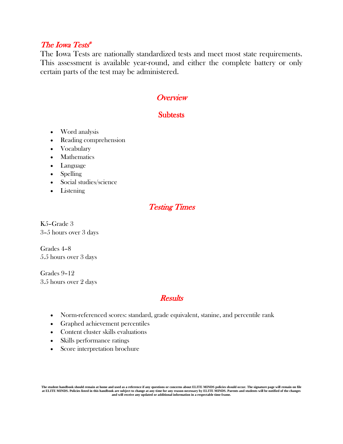#### The Iowa Tests ®

The Iowa Tests are nationally standardized tests and meet most state requirements. This assessment is available year-round, and either the complete battery or only certain parts of the test may be administered.

#### **Overview**

#### **Subtests**

- Word analysis
- Reading comprehension
- Vocabulary
- Mathematics
- Language
- Spelling
- Social studies/science
- Listening

#### Testing Times

K5–Grade 3 3–5 hours over 3 days

Grades 4–8 5.5 hours over 3 days

Grades 9–12 3.5 hours over 2 days

#### **Results**

- Norm-referenced scores: standard, grade equivalent, stanine, and percentile rank
- Graphed achievement percentiles
- Content cluster skills evaluations
- Skills performance ratings
- Score interpretation brochure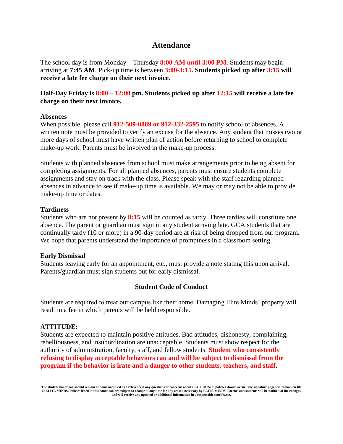#### **Attendance**

The school day is from Monday – Thursday **8:00 AM until 3:00 PM**. Students may begin arriving at **7:45 AM**. Pick-up time is between **3:00-3:15. Students picked up after 3:15 will receive a late fee charge on their next invoice.** 

#### **Half-Day Friday is 8:00 – 12:00 pm. Students picked up after 12:15 will receive a late fee charge on their next invoice.**

#### **Absences**

When possible, please call **912-509-0889 or 912-332-2595** to notify school of absences. A written note must be provided to verify an excuse for the absence. Any student that misses two or more days of school must have written plan of action before returning to school to complete make-up work. Parents must be involved in the make-up process.

Students with planned absences from school must make arrangements prior to being absent for completing assignments. For all planned absences, parents must ensure students complete assignments and stay on track with the class. Please speak with the staff regarding planned absences in advance to see if make-up time is available. We may or may not be able to provide make-up time or dates.

#### **Tardiness**

Students who are not present by **8:15** will be counted as tardy. Three tardies will constitute one absence. The parent or guardian must sign in any student arriving late. GCA students that are continually tardy (10 or more) in a 90-day period are at risk of being dropped from our program. We hope that parents understand the importance of promptness in a classroom setting.

#### **Early Dismissal**

Students leaving early for an appointment, etc., must provide a note stating this upon arrival. Parents/guardian must sign students out for early dismissal.

#### **Student Code of Conduct**

Students are required to treat our campus like their home. Damaging Elite Minds' property will result in a fee in which parents will be held responsible.

#### **ATTITUDE:**

Students are expected to maintain positive attitudes. Bad attitudes, dishonesty, complaining, rebelliousness, and insubordination are unacceptable. Students must show respect for the authority of administration, faculty, staff, and fellow students. **Student who consistently refusing to display acceptable behaviors can and will be subject to dismissal from the program if the behavior is irate and a danger to other students, teachers, and staff.** 

**The student handbook should remain at home and used as a reference if any questions or concerns about ELITE MINDS policies should occur. The signature page will remain on file at ELITE MINDS. Policies listed in this handbook are subject to change at any time for any reason necessary by ELITE MINDS. Parents and students will be notified of the changes and will receive any updated or additional information in a respectable time frame.**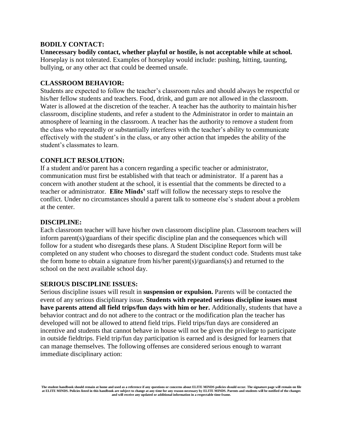#### **BODILY CONTACT:**

**Unnecessary bodily contact, whether playful or hostile, is not acceptable while at school.** Horseplay is not tolerated. Examples of horseplay would include: pushing, hitting, taunting, bullying, or any other act that could be deemed unsafe.

#### **CLASSROOM BEHAVIOR:**

Students are expected to follow the teacher's classroom rules and should always be respectful or his/her fellow students and teachers. Food, drink, and gum are not allowed in the classroom. Water is allowed at the discretion of the teacher. A teacher has the authority to maintain his/her classroom, discipline students, and refer a student to the Administrator in order to maintain an atmosphere of learning in the classroom. A teacher has the authority to remove a student from the class who repeatedly or substantially interferes with the teacher's ability to communicate effectively with the student's in the class, or any other action that impedes the ability of the student's classmates to learn.

#### **CONFLICT RESOLUTION:**

If a student and/or parent has a concern regarding a specific teacher or administrator, communication must first be established with that teach or administrator. If a parent has a concern with another student at the school, it is essential that the comments be directed to a teacher or administrator. **Elite Minds'** staff will follow the necessary steps to resolve the conflict. Under no circumstances should a parent talk to someone else's student about a problem at the center.

#### **DISCIPLINE:**

Each classroom teacher will have his/her own classroom discipline plan. Classroom teachers will inform parent(s)/guardians of their specific discipline plan and the consequences which will follow for a student who disregards these plans. A Student Discipline Report form will be completed on any student who chooses to disregard the student conduct code. Students must take the form home to obtain a signature from his/her parent(s)/guardians(s) and returned to the school on the next available school day.

#### **SERIOUS DISCIPLINE ISSUES:**

Serious discipline issues will result in **suspension or expulsion.** Parents will be contacted the event of any serious disciplinary issue**. Students with repeated serious discipline issues must have parents attend all field trips/fun days with him or her.** Additionally, students that have a behavior contract and do not adhere to the contract or the modification plan the teacher has developed will not be allowed to attend field trips. Field trips/fun days are considered an incentive and students that cannot behave in house will not be given the privilege to participate in outside fieldtrips. Field trip/fun day participation is earned and is designed for learners that can manage themselves. The following offenses are considered serious enough to warrant immediate disciplinary action: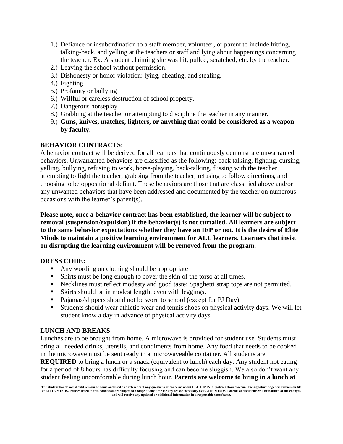- 1.) Defiance or insubordination to a staff member, volunteer, or parent to include hitting, talking-back, and yelling at the teachers or staff and lying about happenings concerning the teacher. Ex. A student claiming she was hit, pulled, scratched, etc. by the teacher.
- 2.) Leaving the school without permission.
- 3.) Dishonesty or honor violation: lying, cheating, and stealing.
- 4.) Fighting
- 5.) Profanity or bullying
- 6.) Willful or careless destruction of school property.
- 7.) Dangerous horseplay
- 8.) Grabbing at the teacher or attempting to discipline the teacher in any manner.
- 9.) **Guns, knives, matches, lighters, or anything that could be considered as a weapon by faculty.**

#### **BEHAVIOR CONTRACTS:**

A behavior contract will be derived for all learners that continuously demonstrate unwarranted behaviors. Unwarranted behaviors are classified as the following: back talking, fighting, cursing, yelling, bullying, refusing to work, horse-playing, back-talking, fussing with the teacher, attempting to fight the teacher, grabbing from the teacher, refusing to follow directions, and choosing to be oppositional defiant. These behaviors are those that are classified above and/or any unwanted behaviors that have been addressed and documented by the teacher on numerous occasions with the learner's parent(s).

**Please note, once a behavior contract has been established, the learner will be subject to removal (suspension/expulsion) if the behavior(s) is not curtailed. All learners are subject to the same behavior expectations whether they have an IEP or not. It is the desire of Elite Minds to maintain a positive learning environment for ALL learners. Learners that insist on disrupting the learning environment will be removed from the program.** 

#### **DRESS CODE:**

- Any wording on clothing should be appropriate
- Shirts must be long enough to cover the skin of the torso at all times.
- Necklines must reflect modesty and good taste; Spaghetti strap tops are not permitted.
- Skirts should be in modest length, even with leggings.
- Pajamas/slippers should not be worn to school (except for PJ Day).
- Students should wear athletic wear and tennis shoes on physical activity days. We will let student know a day in advance of physical activity days.

#### **LUNCH AND BREAKS**

Lunches are to be brought from home. A microwave is provided for student use. Students must bring all needed drinks, utensils, and condiments from home. Any food that needs to be cooked in the microwave must be sent ready in a microwaveable container. All students are

**REQUIRED** to bring a lunch or a snack (equivalent to lunch) each day. Any student not eating for a period of 8 hours has difficulty focusing and can become sluggish. We also don't want any student feeling uncomfortable during lunch hour. **Parents are welcome to bring in a lunch at** 

**The student handbook should remain at home and used as a reference if any questions or concerns about ELITE MINDS policies should occur. The signature page will remain on file**  at ELITE MINDS. Policies listed in this handbook are subject to change at any time for any reason necessary by ELITE MINDS. Parents and students will be notified of the changes<br>and will receive any updated or additional in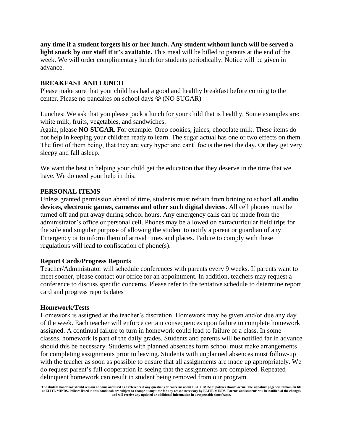**any time if a student forgets his or her lunch. Any student without lunch will be served a light snack by our staff if it's available.** This meal will be billed to parents at the end of the week. We will order complimentary lunch for students periodically. Notice will be given in advance.

#### **BREAKFAST AND LUNCH**

Please make sure that your child has had a good and healthy breakfast before coming to the center. Please no pancakes on school days  $\circledcirc$  (NO SUGAR)

Lunches: We ask that you please pack a lunch for your child that is healthy. Some examples are: white milk, fruits, vegetables, and sandwiches.

Again, please **NO SUGAR**. For example: Oreo cookies, juices, chocolate milk. These items do not help in keeping your children ready to learn. The sugar actual has one or two effects on them. The first of them being, that they are very hyper and cant' focus the rest the day. Or they get very sleepy and fall asleep.

We want the best in helping your child get the education that they deserve in the time that we have. We do need your help in this.

#### **PERSONAL ITEMS**

Unless granted permission ahead of time, students must refrain from brining to school **all audio devices, electronic games, cameras and other such digital devices.** All cell phones must be turned off and put away during school hours. Any emergency calls can be made from the administrator's office or personal cell. Phones may be allowed on extracurricular field trips for the sole and singular purpose of allowing the student to notify a parent or guardian of any Emergency or to inform them of arrival times and places. Failure to comply with these regulations will lead to confiscation of phone(s).

#### **Report Cards/Progress Reports**

Teacher/Administrator will schedule conferences with parents every 9 weeks. If parents want to meet sooner, please contact our office for an appointment. In addition, teachers may request a conference to discuss specific concerns. Please refer to the tentative schedule to determine report card and progress reports dates

#### **Homework/Tests**

Homework is assigned at the teacher's discretion. Homework may be given and/or due any day of the week. Each teacher will enforce certain consequences upon failure to complete homework assigned. A continual failure to turn in homework could lead to failure of a class. In some classes, homework is part of the daily grades. Students and parents will be notified far in advance should this be necessary. Students with planned absences form school must make arrangements for completing assignments prior to leaving. Students with unplanned absences must follow-up with the teacher as soon as possible to ensure that all assignments are made up appropriately. We do request parent's full cooperation in seeing that the assignments are completed. Repeated delinquent homework can result in student being removed from our program.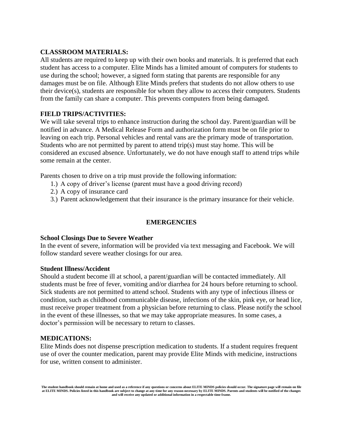#### **CLASSROOM MATERIALS:**

All students are required to keep up with their own books and materials. It is preferred that each student has access to a computer. Elite Minds has a limited amount of computers for students to use during the school; however, a signed form stating that parents are responsible for any damages must be on file. Although Elite Minds prefers that students do not allow others to use their device(s), students are responsible for whom they allow to access their computers. Students from the family can share a computer. This prevents computers from being damaged.

#### **FIELD TRIPS/ACTIVITIES:**

We will take several trips to enhance instruction during the school day. Parent/guardian will be notified in advance. A Medical Release Form and authorization form must be on file prior to leaving on each trip. Personal vehicles and rental vans are the primary mode of transportation. Students who are not permitted by parent to attend trip(s) must stay home. This will be considered an excused absence. Unfortunately, we do not have enough staff to attend trips while some remain at the center.

Parents chosen to drive on a trip must provide the following information:

- 1.) A copy of driver's license (parent must have a good driving record)
- 2.) A copy of insurance card
- 3.) Parent acknowledgement that their insurance is the primary insurance for their vehicle.

#### **EMERGENCIES**

#### **School Closings Due to Severe Weather**

In the event of severe, information will be provided via text messaging and Facebook. We will follow standard severe weather closings for our area.

#### **Student Illness/Accident**

Should a student become ill at school, a parent/guardian will be contacted immediately. All students must be free of fever, vomiting and/or diarrhea for 24 hours before returning to school. Sick students are not permitted to attend school. Students with any type of infectious illness or condition, such as childhood communicable disease, infections of the skin, pink eye, or head lice, must receive proper treatment from a physician before returning to class. Please notify the school in the event of these illnesses, so that we may take appropriate measures. In some cases, a doctor's permission will be necessary to return to classes.

#### **MEDICATIONS:**

Elite Minds does not dispense prescription medication to students. If a student requires frequent use of over the counter medication, parent may provide Elite Minds with medicine, instructions for use, written consent to administer.

**The student handbook should remain at home and used as a reference if any questions or concerns about ELITE MINDS policies should occur. The signature page will remain on file at ELITE MINDS. Policies listed in this handbook are subject to change at any time for any reason necessary by ELITE MINDS. Parents and students will be notified of the changes and will receive any updated or additional information in a respectable time frame.**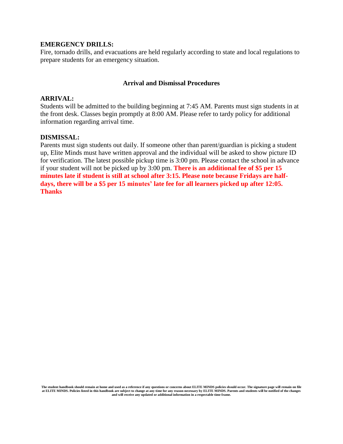#### **EMERGENCY DRILLS:**

Fire, tornado drills, and evacuations are held regularly according to state and local regulations to prepare students for an emergency situation.

#### **Arrival and Dismissal Procedures**

#### **ARRIVAL:**

Students will be admitted to the building beginning at 7:45 AM. Parents must sign students in at the front desk. Classes begin promptly at 8:00 AM. Please refer to tardy policy for additional information regarding arrival time.

#### **DISMISSAL:**

Parents must sign students out daily. If someone other than parent/guardian is picking a student up, Elite Minds must have written approval and the individual will be asked to show picture ID for verification. The latest possible pickup time is 3:00 pm. Please contact the school in advance if your student will not be picked up by 3:00 pm. **There is an additional fee of \$5 per 15 minutes late if student is still at school after 3:15. Please note because Fridays are halfdays, there will be a \$5 per 15 minutes' late fee for all learners picked up after 12:05. Thanks**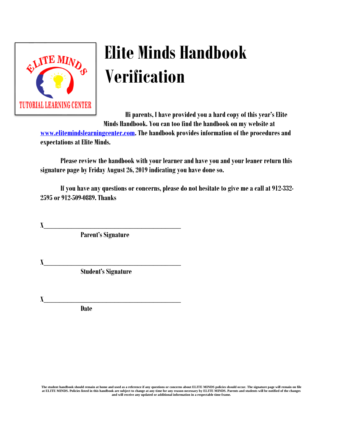

# **Elite Minds Handbook Verification**

**Hi parents, I have provided you a hard copy of this year's Elite Minds Handbook. You can too find the handbook on my website at** 

**[www.elitemindslearningcenter.com.](http://www.elitemindslearningcenter.com/) The handbook provides information of the procedures and expectations at Elite Minds.** 

**Please review the handbook with your learner and have you and your leaner return this signature page by Friday August26, 2019indicating you have done so.** 

**If you have any questions or concerns, please do not hesitate to give me a call at 912-332- 2595 or 912-509-0889. Thanks** 

**X\_\_\_\_\_\_\_\_\_\_\_\_\_\_\_\_\_\_\_\_\_\_\_\_\_\_\_\_\_\_\_\_\_\_\_**

**Parent's Signature**

**X\_\_\_\_\_\_\_\_\_\_\_\_\_\_\_\_\_\_\_\_\_\_\_\_\_\_\_\_\_\_\_\_\_\_\_**

**Student's Signature**

**X\_\_\_\_\_\_\_\_\_\_\_\_\_\_\_\_\_\_\_\_\_\_\_\_\_\_\_\_\_\_\_\_\_\_\_**

**Date**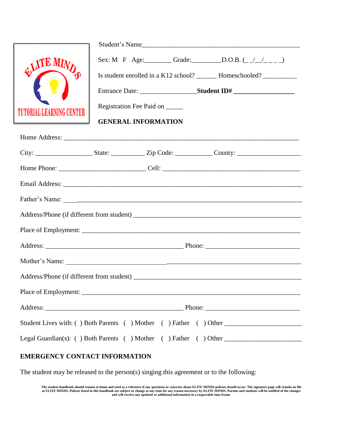|                                                                                                                                                                                                                               |  |                                 | Student's Name                                                                                                                 |
|-------------------------------------------------------------------------------------------------------------------------------------------------------------------------------------------------------------------------------|--|---------------------------------|--------------------------------------------------------------------------------------------------------------------------------|
| <b>QUITE MIN</b>                                                                                                                                                                                                              |  |                                 | Sex: M F Age: Grade: D.O.B. $(\_/\_/\_\_)$<br>Is student enrolled in a K12 school? ________ Homeschooled? ____________________ |
|                                                                                                                                                                                                                               |  |                                 |                                                                                                                                |
| TUTORIAL LEARNING CENTER                                                                                                                                                                                                      |  | Registration Fee Paid on ______ |                                                                                                                                |
|                                                                                                                                                                                                                               |  | <b>GENERAL INFORMATION</b>      |                                                                                                                                |
|                                                                                                                                                                                                                               |  |                                 |                                                                                                                                |
|                                                                                                                                                                                                                               |  |                                 |                                                                                                                                |
|                                                                                                                                                                                                                               |  |                                 |                                                                                                                                |
|                                                                                                                                                                                                                               |  |                                 |                                                                                                                                |
|                                                                                                                                                                                                                               |  |                                 |                                                                                                                                |
|                                                                                                                                                                                                                               |  |                                 |                                                                                                                                |
|                                                                                                                                                                                                                               |  |                                 |                                                                                                                                |
|                                                                                                                                                                                                                               |  |                                 |                                                                                                                                |
| Mother's Name: Notice and the contract of the contract of the contract of the contract of the contract of the contract of the contract of the contract of the contract of the contract of the contract of the contract of the |  |                                 |                                                                                                                                |
|                                                                                                                                                                                                                               |  |                                 | Address/Phone (if different from student)                                                                                      |
|                                                                                                                                                                                                                               |  |                                 |                                                                                                                                |
|                                                                                                                                                                                                                               |  |                                 |                                                                                                                                |
|                                                                                                                                                                                                                               |  |                                 |                                                                                                                                |
| Legal Guardian(s): () Both Parents () Mother () Father () Other _________________                                                                                                                                             |  |                                 |                                                                                                                                |

#### **EMERGENCY CONTACT INFORMATION**

The student may be released to the person(s) singing this agreement or to the following: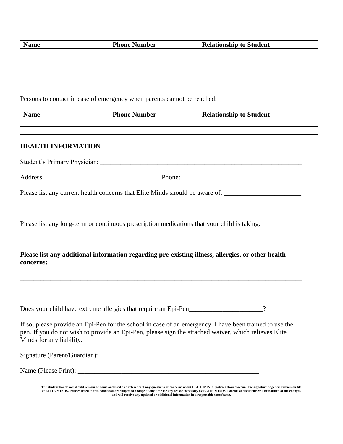| <b>Name</b> | <b>Phone Number</b> | <b>Relationship to Student</b> |
|-------------|---------------------|--------------------------------|
|             |                     |                                |
|             |                     |                                |
|             |                     |                                |
|             |                     |                                |
|             |                     |                                |

Persons to contact in case of emergency when parents cannot be reached:

| <b>Name</b> | <b>Phone Number</b> | <b>Relationship to Student</b> |
|-------------|---------------------|--------------------------------|
|             |                     |                                |
|             |                     |                                |

#### **HEALTH INFORMATION**

Student's Primary Physician: \_\_\_\_\_\_\_\_\_\_\_\_\_\_\_\_\_\_\_\_\_\_\_\_\_\_\_\_\_\_\_\_\_\_\_\_\_\_\_\_\_\_\_\_\_\_\_\_\_\_\_\_\_\_\_\_\_\_\_\_

Address: \_\_\_\_\_\_\_\_\_\_\_\_\_\_\_\_\_\_\_\_\_\_\_\_\_\_\_\_\_\_\_\_\_\_ Phone: \_\_\_\_\_\_\_\_\_\_\_\_\_\_\_\_\_\_\_\_\_\_\_\_\_\_\_\_\_\_\_\_\_\_\_

\_\_\_\_\_\_\_\_\_\_\_\_\_\_\_\_\_\_\_\_\_\_\_\_\_\_\_\_\_\_\_\_\_\_\_\_\_\_\_\_\_\_\_\_\_\_\_\_\_\_\_\_\_\_\_\_\_\_\_\_\_\_\_\_\_\_\_\_\_\_\_\_\_\_\_\_\_\_\_\_\_\_\_\_

Please list any current health concerns that Elite Minds should be aware of: \_\_\_\_\_\_\_\_\_\_\_\_\_\_\_\_\_\_\_\_\_\_\_\_\_\_\_\_\_\_\_\_\_

Please list any long-term or continuous prescription medications that your child is taking:

\_\_\_\_\_\_\_\_\_\_\_\_\_\_\_\_\_\_\_\_\_\_\_\_\_\_\_\_\_\_\_\_\_\_\_\_\_\_\_\_\_\_\_\_\_\_\_\_\_\_\_\_\_\_\_\_\_\_\_\_\_\_\_\_\_\_\_\_\_\_\_

#### **Please list any additional information regarding pre-existing illness, allergies, or other health concerns:**

\_\_\_\_\_\_\_\_\_\_\_\_\_\_\_\_\_\_\_\_\_\_\_\_\_\_\_\_\_\_\_\_\_\_\_\_\_\_\_\_\_\_\_\_\_\_\_\_\_\_\_\_\_\_\_\_\_\_\_\_\_\_\_\_\_\_\_\_\_\_\_\_\_\_\_\_\_\_\_\_\_\_\_\_

\_\_\_\_\_\_\_\_\_\_\_\_\_\_\_\_\_\_\_\_\_\_\_\_\_\_\_\_\_\_\_\_\_\_\_\_\_\_\_\_\_\_\_\_\_\_\_\_\_\_\_\_\_\_\_\_\_\_\_\_\_\_\_\_\_\_\_\_\_\_\_\_\_\_\_\_\_\_\_\_\_\_\_\_

Does your child have extreme allergies that require an Epi-Pen\_\_\_\_\_\_\_\_\_\_\_\_\_\_\_\_\_\_?

If so, please provide an Epi-Pen for the school in case of an emergency. I have been trained to use the pen. If you do not wish to provide an Epi-Pen, please sign the attached waiver, which relieves Elite Minds for any liability.

| Signature (Parent/Guardian): |  |  |
|------------------------------|--|--|
|                              |  |  |

Name (Please Print): \_\_\_\_\_\_\_\_\_\_\_\_\_\_\_\_\_\_\_\_\_\_\_\_\_\_\_\_\_\_\_\_\_\_\_\_\_\_\_\_\_\_\_\_\_\_\_\_\_\_\_\_\_\_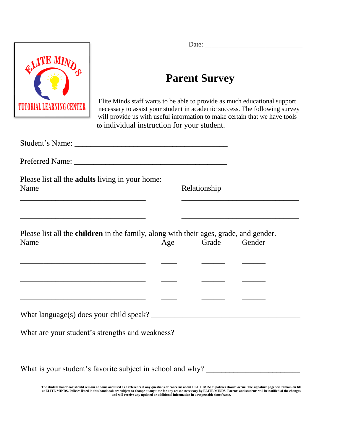

Date: \_\_\_\_\_\_\_\_\_\_\_\_\_\_\_\_\_\_\_\_\_\_\_\_\_\_\_\_\_

## **Parent Survey**

Elite Minds staff wants to be able to provide as much educational support necessary to assist your student in academic success. The following survey will provide us with useful information to make certain that we have tools to individual instruction for your student.

| Relationship<br>the control of the control of the control of the control of the control of the control of<br>Please list all the <b>children</b> in the family, along with their ages, grade, and gender.<br>Grade Gender<br>Age |                                                            |
|----------------------------------------------------------------------------------------------------------------------------------------------------------------------------------------------------------------------------------|------------------------------------------------------------|
|                                                                                                                                                                                                                                  |                                                            |
|                                                                                                                                                                                                                                  |                                                            |
|                                                                                                                                                                                                                                  |                                                            |
|                                                                                                                                                                                                                                  |                                                            |
|                                                                                                                                                                                                                                  |                                                            |
| What are your student's strengths and weakness? _________________________________                                                                                                                                                |                                                            |
|                                                                                                                                                                                                                                  | What is your student's favorite subject in school and why? |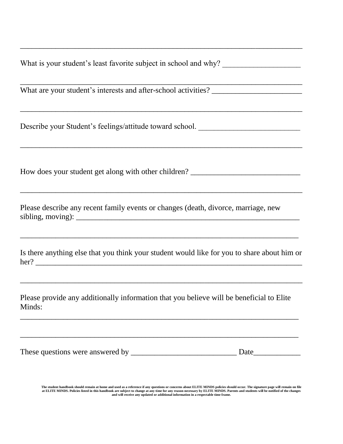What is your student's least favorite subject in school and why?

 $\overline{\phantom{a}}$  , and the contribution of the contribution of the contribution of the contribution of the contribution of  $\overline{\phantom{a}}$ 

 $\overline{\phantom{a}}$  , and the contribution of the contribution of the contribution of the contribution of the contribution of  $\overline{\phantom{a}}$ 

 $\overline{\phantom{a}}$  , and the contribution of the contribution of the contribution of the contribution of the contribution of  $\overline{\phantom{a}}$ 

\_\_\_\_\_\_\_\_\_\_\_\_\_\_\_\_\_\_\_\_\_\_\_\_\_\_\_\_\_\_\_\_\_\_\_\_\_\_\_\_\_\_\_\_\_\_\_\_\_\_\_\_\_\_\_\_\_\_\_\_\_\_\_\_\_\_\_\_\_\_\_\_

 $\overline{a_1}$  ,  $\overline{a_2}$  ,  $\overline{a_3}$  ,  $\overline{a_4}$  ,  $\overline{a_5}$  ,  $\overline{a_6}$  ,  $\overline{a_7}$  ,  $\overline{a_8}$  ,  $\overline{a_9}$  ,  $\overline{a_9}$  ,  $\overline{a_9}$  ,  $\overline{a_9}$  ,  $\overline{a_9}$  ,  $\overline{a_9}$  ,  $\overline{a_9}$  ,  $\overline{a_9}$  ,  $\overline{a_9}$  ,

What are your student's interests and after-school activities? \_\_\_\_\_\_\_\_\_\_\_\_\_\_\_\_\_\_

Describe your Student's feelings/attitude toward school. \_\_\_\_\_\_\_\_\_\_\_\_\_\_\_\_\_\_\_\_\_\_\_

How does your student get along with other children? \_\_\_\_\_\_\_\_\_\_\_\_\_\_\_\_\_\_\_\_\_\_\_\_\_\_\_

Please describe any recent family events or changes (death, divorce, marriage, new  $sibling, moving):$ 

Is there anything else that you think your student would like for you to share about him or her? \_\_\_\_\_\_\_\_\_\_\_\_\_\_\_\_\_\_\_\_\_\_\_\_\_\_\_\_\_\_\_\_\_\_\_\_\_\_\_\_\_\_\_\_\_\_\_\_\_\_\_\_\_\_\_\_\_\_\_\_\_\_\_\_\_\_\_\_

 $\overline{\phantom{a}}$  , and the contribution of the contribution of the contribution of the contribution of the contribution of  $\overline{\phantom{a}}$ 

\_\_\_\_\_\_\_\_\_\_\_\_\_\_\_\_\_\_\_\_\_\_\_\_\_\_\_\_\_\_\_\_\_\_\_\_\_\_\_\_\_\_\_\_\_\_\_\_\_\_\_\_\_\_\_\_\_\_\_\_\_\_\_\_\_\_\_\_\_\_\_

Please provide any additionally information that you believe will be beneficial to Elite Minds:

\_\_\_\_\_\_\_\_\_\_\_\_\_\_\_\_\_\_\_\_\_\_\_\_\_\_\_\_\_\_\_\_\_\_\_\_\_\_\_\_\_\_\_\_\_\_\_\_\_\_\_\_\_\_\_\_\_\_\_\_\_\_\_\_\_\_\_\_\_\_\_

\_\_\_\_\_\_\_\_\_\_\_\_\_\_\_\_\_\_\_\_\_\_\_\_\_\_\_\_\_\_\_\_\_\_\_\_\_\_\_\_\_\_\_\_\_\_\_\_\_\_\_\_\_\_\_\_\_\_\_\_\_\_\_\_\_\_\_\_\_\_\_

These questions were answered by **Example 2018** Date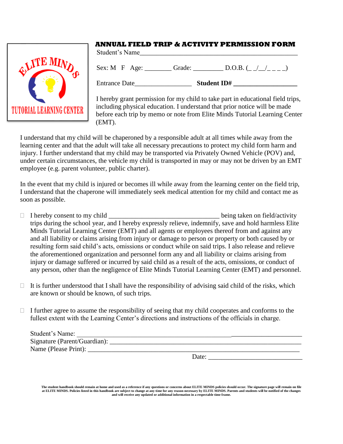

#### **ANNUAL FIELD TRIP & ACTIVITY PERMISSION FORM**

Student's Name\_\_\_\_\_\_\_\_\_\_\_\_\_\_\_\_\_\_\_\_\_\_\_\_\_\_\_\_\_\_\_\_\_\_\_\_\_\_\_\_\_\_\_\_\_\_\_ Sex: M F Age: Grade:  $\underline{\qquad \qquad}$  D.O.B. ( $\angle$  / \_ \_ \_)

Entrance Date **Student ID#** 

I hereby grant permission for my child to take part in educational field trips, including physical education. I understand that prior notice will be made before each trip by memo or note from Elite Minds Tutorial Learning Center (EMT).

I understand that my child will be chaperoned by a responsible adult at all times while away from the learning center and that the adult will take all necessary precautions to protect my child form harm and injury. I further understand that my child may be transported via Privately Owned Vehicle (POV) and, under certain circumstances, the vehicle my child is transported in may or may not be driven by an EMT employee (e.g. parent volunteer, public charter).

In the event that my child is injured or becomes ill while away from the learning center on the field trip, I understand that the chaperone will immediately seek medical attention for my child and contact me as soon as possible.

- $\Box$  I hereby consent to my child  $\Box$  being taken on field/activity trips during the school year, and I hereby expressly relieve, indemnify, save and hold harmless Elite Minds Tutorial Learning Center (EMT) and all agents or employees thereof from and against any and all liability or claims arising from injury or damage to person or property or both caused by or resulting form said child's acts, omissions or conduct while on said trips. I also release and relieve the aforementioned organization and personnel form any and all liability or claims arising from injury or damage suffered or incurred by said child as a result of the acts, omissions, or conduct of any person, other than the negligence of Elite Minds Tutorial Learning Center (EMT) and personnel.
- $\Box$  It is further understood that I shall have the responsibility of advising said child of the risks, which are known or should be known, of such trips.
- $\Box$  I further agree to assume the responsibility of seeing that my child cooperates and conforms to the fullest extent with the Learning Center's directions and instructions of the officials in charge.

| Student's Name:              |  |
|------------------------------|--|
| Signature (Parent/Guardian): |  |
| Name (Please Print):         |  |

Date:

**The student handbook should remain at home and used as a reference if any questions or concerns about ELITE MINDS policies should occur. The signature page will remain on file at ELITE MINDS. Policies listed in this handbook are subject to change at any time for any reason necessary by ELITE MINDS. Parents and students will be notified of the changes and will receive any updated or additional information in a respectable time frame.**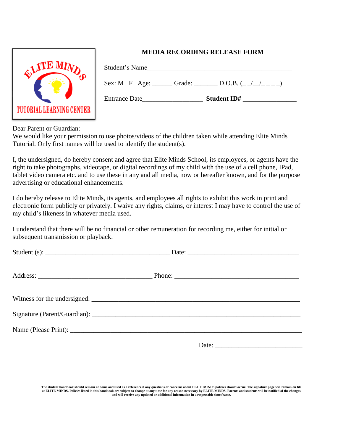

#### **MEDIA RECORDING RELEASE FORM**

| Student's Name                           |                    |
|------------------------------------------|--------------------|
| $Sex: M \rightarrow F \quad Age:$ Grade: | D.O.B. $(\_/\_/\_$ |
| <b>Entrance Date</b>                     | <b>Student ID#</b> |

Dear Parent or Guardian:

We would like your permission to use photos/videos of the children taken while attending Elite Minds Tutorial. Only first names will be used to identify the student(s).

I, the undersigned, do hereby consent and agree that Elite Minds School, its employees, or agents have the right to take photographs, videotape, or digital recordings of my child with the use of a cell phone, IPad, tablet video camera etc. and to use these in any and all media, now or hereafter known, and for the purpose advertising or educational enhancements.

I do hereby release to Elite Minds, its agents, and employees all rights to exhibit this work in print and electronic form publicly or privately. I waive any rights, claims, or interest I may have to control the use of my child's likeness in whatever media used.

I understand that there will be no financial or other remuneration for recording me, either for initial or subsequent transmission or playback.

| Date: |  |
|-------|--|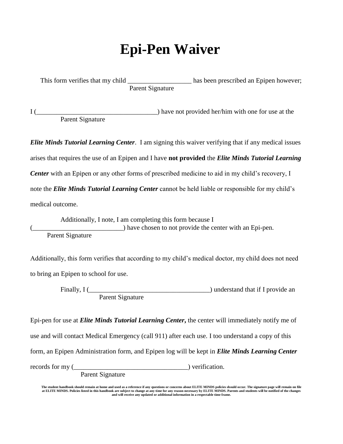## **Epi-Pen Waiver**

This form verifies that my child \_\_\_\_\_\_\_\_\_\_\_\_\_\_\_\_\_\_\_ has been prescribed an Epipen however; Parent Signature

I (  $\overline{I}$  ) have not provided her/him with one for use at the Parent Signature

*Elite Minds Tutorial Learning Center.* I am signing this waiver verifying that if any medical issues arises that requires the use of an Epipen and I have **not provided** the *Elite Minds Tutorial Learning Center* with an Epipen or any other forms of prescribed medicine to aid in my child's recovery, I note the *Elite Minds Tutorial Learning Center* cannot be held liable or responsible for my child's medical outcome.

Additionally, I note, I am completing this form because I ) have chosen to not provide the center with an Epi-pen. Parent Signature

Additionally, this form verifies that according to my child's medical doctor, my child does not need to bring an Epipen to school for use.

> Finally, I ( $\qquad$ Parent Signature

Epi-pen for use at *Elite Minds Tutorial Learning Center***,** the center will immediately notify me of use and will contact Medical Emergency (call 911) after each use. I too understand a copy of this form, an Epipen Administration form, and Epipen log will be kept in *Elite Minds Learning Center* records for my (\_\_\_\_\_\_\_\_\_\_\_\_\_\_\_\_\_\_\_\_\_\_\_\_\_\_\_\_\_\_\_\_\_\_) verification.

Parent Signature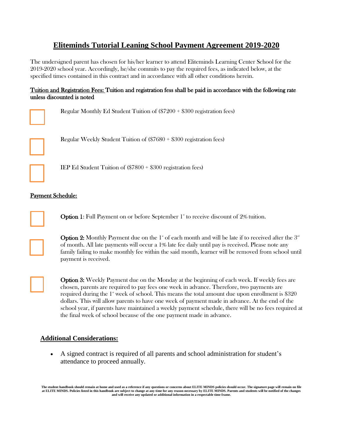#### **Eliteminds Tutorial Leaning School Payment Agreement 2019-2020**

The undersigned parent has chosen for his/her learner to attend Eliteminds Learning Center School for the 2019-2020 school year. Accordingly, he/she commits to pay the required fees, as indicated below, at the specified times contained in this contract and in accordance with all other conditions herein.

#### Tuition and Registration Fees: Tuition and registration fess shall be paid in accordance with the following rate unless discounted is noted

Regular Monthly Ed Student Tuition of (\$7200 + \$300 registration fees)



Regular Weekly Student Tuition of (\$7680 + \$300 registration fees)



l

IEP Ed Student Tuition of (\$7800 + \$300 registration fees)

#### Payment Schedule:

**Option 1:** Full Payment on or before September  $1^{\circ}$  to receive discount of 2% tuition.

**Option 2:** Monthly Payment due on the 1<sup> $\ast$ </sup> of each month and will be late if to received after the  $3<sup>\alpha</sup>$ of month. All late payments will occur a 1% late fee daily until pay is received. Please note any family failing to make monthly fee within the said month, learner will be removed from school until payment is received.



Option 3: Weekly Payment due on the Monday at the beginning of each week. If weekly fees are chosen, parents are required to pay fees one week in advance. Therefore, two payments are required during the  $1^{\circ}$  week of school. This means the total amount due upon enrollment is \$320 dollars. This will allow parents to have one week of payment made in advance. At the end of the school year, if parents have maintained a weekly payment schedule, there will be no fees required at the final week of school because of the one payment made in advance.

#### **Additional Considerations:**

• A signed contract is required of all parents and school administration for student's attendance to proceed annually.